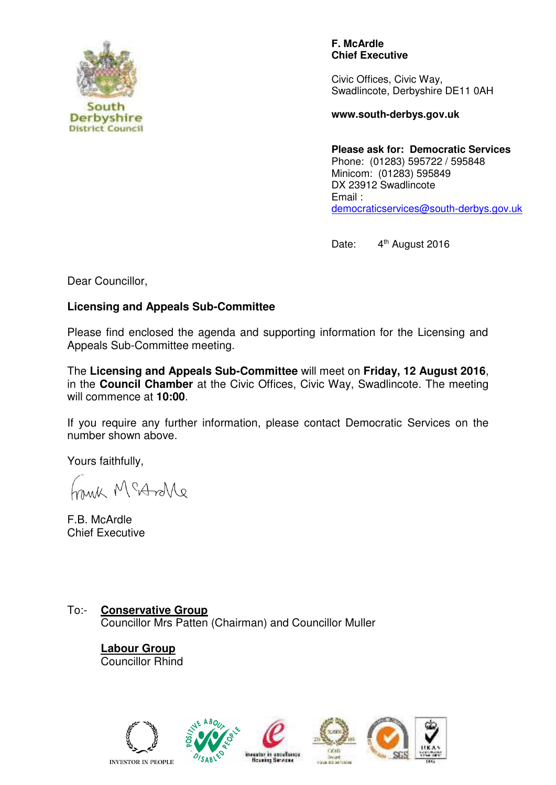

**F. McArdle Chief Executive**

Civic Offices, Civic Way, Swadlincote, Derbyshire DE11 0AH

**www.south-derbys.gov.uk** 

**Please ask for: Democratic Services** Phone: (01283) 595722 / 595848 Minicom: (01283) 595849 DX 23912 Swadlincote Email : [democraticservices@south-derbys.gov.uk](mailto:democraticservices@south-derbys.gov.uk) 

Date: 4<sup>th</sup> August 2016

Dear Councillor,

## **Licensing and Appeals Sub-Committee**

Please find enclosed the agenda and supporting information for the Licensing and Appeals Sub-Committee meeting.

The **Licensing and Appeals Sub-Committee** will meet on **Friday, 12 August 2016**, in the **Council Chamber** at the Civic Offices, Civic Way, Swadlincote. The meeting will commence at **10:00**.

If you require any further information, please contact Democratic Services on the number shown above.

Yours faithfully,

antor M 9Am

F.B. McArdle Chief Executive

To:- **Conservative Group**  Councillor Mrs Patten (Chairman) and Councillor Muller

> **Labour Group** Councillor Rhind